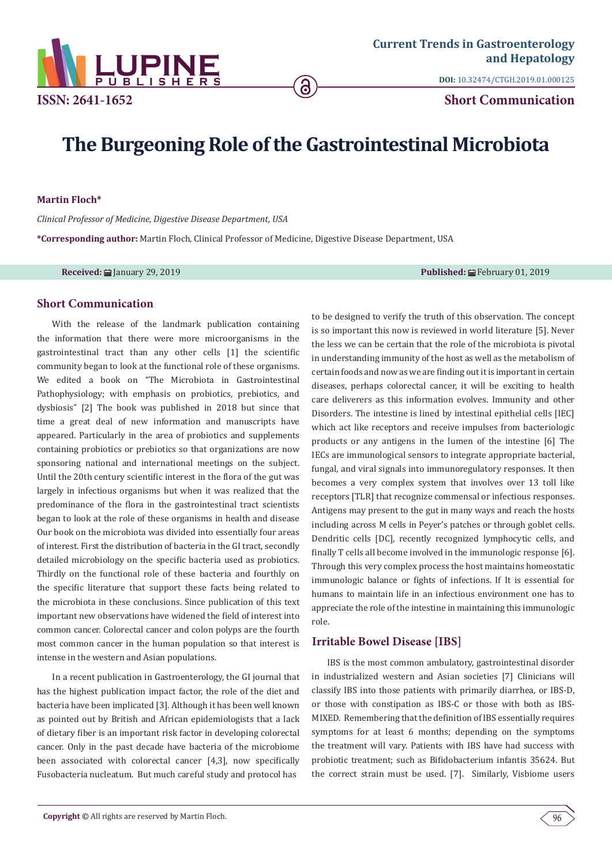

**DOI:** 10.32474/CTGH.2019.01.000125

**Short Communication**

# **The Burgeoning Role of the Gastrointestinal Microbiota**

ခ

**Martin Floch\***

*Clinical Professor of Medicine, Digestive Disease Department, USA*

**\*Corresponding author:** Martin Floch, Clinical Professor of Medicine, Digestive Disease Department, USA

**Received:** January 29, 2019 **Published:** February 01, 2019

## **Short Communication**

With the release of the landmark publication containing the information that there were more microorganisms in the gastrointestinal tract than any other cells [1] the scientific community began to look at the functional role of these organisms. We edited a book on "The Microbiota in Gastrointestinal Pathophysiology; with emphasis on probiotics, prebiotics, and dysbiosis" [2] The book was published in 2018 but since that time a great deal of new information and manuscripts have appeared. Particularly in the area of probiotics and supplements containing probiotics or prebiotics so that organizations are now sponsoring national and international meetings on the subject. Until the 20th century scientific interest in the flora of the gut was largely in infectious organisms but when it was realized that the predominance of the flora in the gastrointestinal tract scientists began to look at the role of these organisms in health and disease Our book on the microbiota was divided into essentially four areas of interest. First the distribution of bacteria in the GI tract, secondly detailed microbiology on the specific bacteria used as probiotics. Thirdly on the functional role of these bacteria and fourthly on the specific literature that support these facts being related to the microbiota in these conclusions. Since publication of this text important new observations have widened the �ield of interest into common cancer. Colorectal cancer and colon polyps are the fourth most common cancer in the human population so that interest is intense in the western and Asian populations.

In a recent publication in Gastroenterology, the GI journal that has the highest publication impact factor, the role of the diet and bacteria have been implicated [3]. Although it has been well known as pointed out by British and African epidemiologists that a lack of dietary �iber is an important risk factor in developing colorectal cancer. Only in the past decade have bacteria of the microbiome been associated with colorectal cancer [4,3], now specifically Fusobacteria nucleatum. But much careful study and protocol has

to be designed to verify the truth of this observation. The concept is so important this now is reviewed in world literature [5]. Never the less we can be certain that the role of the microbiota is pivotal in understanding immunity of the host as well as the metabolism of certain foods and now as we are �inding out it is important in certain diseases, perhaps colorectal cancer, it will be exciting to health care deliverers as this information evolves. Immunity and other Disorders. The intestine is lined by intestinal epithelial cells [IEC] which act like receptors and receive impulses from bacteriologic products or any antigens in the lumen of the intestine [6] The IECs are immunological sensors to integrate appropriate bacterial, fungal, and viral signals into immunoregulatory responses. It then becomes a very complex system that involves over 13 toll like receptors [TLR] that recognize commensal or infectious responses. Antigens may present to the gut in many ways and reach the hosts including across M cells in Peyer's patches or through goblet cells. Dendritic cells [DC], recently recognized lymphocytic cells, and finally T cells all become involved in the immunologic response [6]. Through this very complex process the host maintains homeostatic immunologic balance or fights of infections. If It is essential for humans to maintain life in an infectious environment one has to appreciate the role of the intestine in maintaining this immunologic role.

## **Irritable Bowel Disease [IBS]**

IBS is the most common ambulatory, gastrointestinal disorder in industrialized western and Asian societies [7] Clinicians will classify IBS into those patients with primarily diarrhea, or IBS-D, or those with constipation as IBS-C or those with both as IBS-MIXED. Remembering that the definition of IBS essentially requires symptoms for at least 6 months; depending on the symptoms the treatment will vary. Patients with IBS have had success with probiotic treatment; such as Bi�idobacterium infantis 35624. But the correct strain must be used. [7]. Similarly, Visbiome users